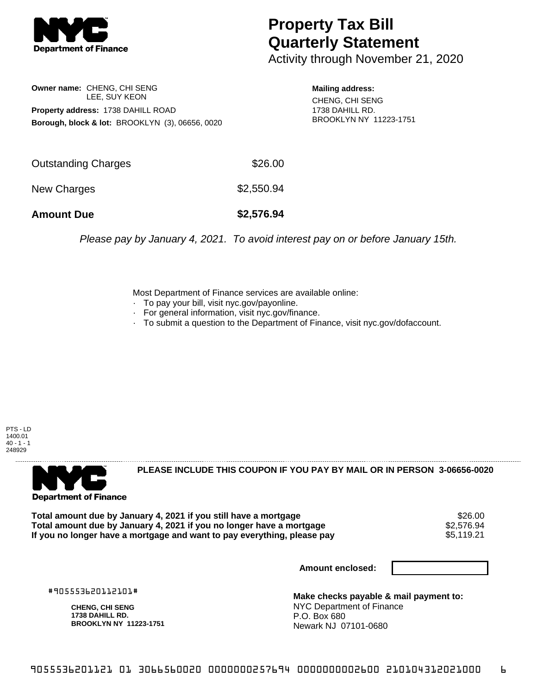

## **Property Tax Bill Quarterly Statement**

Activity through November 21, 2020

**Owner name:** CHENG, CHI SENG LEE, SUY KEON **Property address:** 1738 DAHILL ROAD **Borough, block & lot:** BROOKLYN (3), 06656, 0020

**Mailing address:** CHENG, CHI SENG 1738 DAHILL RD. BROOKLYN NY 11223-1751

| \$2,550.94 |
|------------|
| \$2,576.94 |
|            |

Please pay by January 4, 2021. To avoid interest pay on or before January 15th.

Most Department of Finance services are available online:

- · To pay your bill, visit nyc.gov/payonline.
- For general information, visit nyc.gov/finance.
- · To submit a question to the Department of Finance, visit nyc.gov/dofaccount.

PTS - LD 1400.01  $40 - 1 - 1$ 248929



**PLEASE INCLUDE THIS COUPON IF YOU PAY BY MAIL OR IN PERSON 3-06656-0020** 

Total amount due by January 4, 2021 if you still have a mortgage **1996 and the set of the set of the set of the**<br>Total amount due by January 4, 2021 if you no longer have a mortgage **1996 and S2,576.94 Total amount due by January 4, 2021 if you no longer have a mortgage**  $$2,576.94$ **<br>If you no longer have a mortgage and want to pay everything, please pay** If you no longer have a mortgage and want to pay everything, please pay

**Amount enclosed:**

#905553620112101#

**CHENG, CHI SENG 1738 DAHILL RD. BROOKLYN NY 11223-1751**

**Make checks payable & mail payment to:** NYC Department of Finance P.O. Box 680 Newark NJ 07101-0680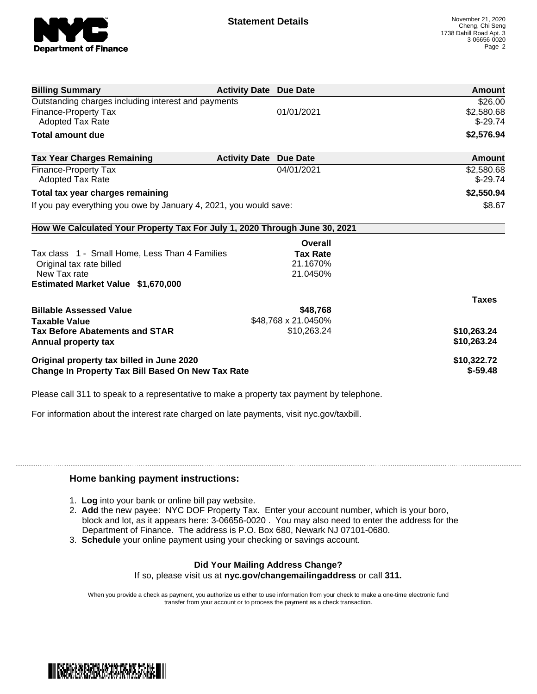

| <b>Billing Summary</b>                                                     | <b>Activity Date Due Date</b> |                     | Amount        |
|----------------------------------------------------------------------------|-------------------------------|---------------------|---------------|
| Outstanding charges including interest and payments                        |                               |                     | \$26.00       |
| Finance-Property Tax                                                       |                               | 01/01/2021          | \$2,580.68    |
| Adopted Tax Rate                                                           |                               |                     | $$-29.74$     |
| <b>Total amount due</b>                                                    |                               |                     | \$2,576.94    |
| <b>Tax Year Charges Remaining</b>                                          | <b>Activity Date</b>          | <b>Due Date</b>     | <b>Amount</b> |
| Finance-Property Tax                                                       |                               | 04/01/2021          | \$2,580.68    |
| <b>Adopted Tax Rate</b>                                                    |                               |                     | $$-29.74$     |
| Total tax year charges remaining                                           |                               |                     | \$2,550.94    |
| If you pay everything you owe by January 4, 2021, you would save:          |                               |                     | \$8.67        |
| How We Calculated Your Property Tax For July 1, 2020 Through June 30, 2021 |                               |                     |               |
|                                                                            |                               | Overall             |               |
| Tax class 1 - Small Home, Less Than 4 Families                             |                               | <b>Tax Rate</b>     |               |
| Original tax rate billed                                                   |                               | 21.1670%            |               |
| New Tax rate                                                               |                               | 21.0450%            |               |
| Estimated Market Value \$1,670,000                                         |                               |                     |               |
|                                                                            |                               |                     | <b>Taxes</b>  |
| <b>Billable Assessed Value</b>                                             |                               | \$48,768            |               |
| <b>Taxable Value</b>                                                       |                               | \$48,768 x 21.0450% |               |
| <b>Tax Before Abatements and STAR</b>                                      |                               | \$10,263.24         | \$10,263.24   |
| Annual property tax                                                        |                               |                     | \$10,263.24   |
| Original property tax billed in June 2020                                  |                               |                     | \$10,322.72   |
| Change In Property Tax Bill Based On New Tax Rate                          |                               |                     | $$-59.48$     |

Please call 311 to speak to a representative to make a property tax payment by telephone.

For information about the interest rate charged on late payments, visit nyc.gov/taxbill.

## **Home banking payment instructions:**

- 1. **Log** into your bank or online bill pay website.
- 2. **Add** the new payee: NYC DOF Property Tax. Enter your account number, which is your boro, block and lot, as it appears here: 3-06656-0020 . You may also need to enter the address for the Department of Finance. The address is P.O. Box 680, Newark NJ 07101-0680.
- 3. **Schedule** your online payment using your checking or savings account.

## **Did Your Mailing Address Change?**

If so, please visit us at **nyc.gov/changemailingaddress** or call **311.**

When you provide a check as payment, you authorize us either to use information from your check to make a one-time electronic fund transfer from your account or to process the payment as a check transaction.